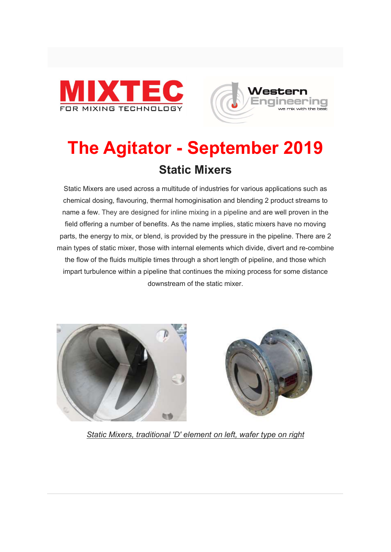



# The Agitator - September 2019 Static Mixers

Static Mixers are used across a multitude of industries for various applications such as chemical dosing, flavouring, thermal homoginisation and blending 2 product streams to name a few. They are designed for inline mixing in a pipeline and are well proven in the field offering a number of benefits. As the name implies, static mixers have no moving parts, the energy to mix, or blend, is provided by the pressure in the pipeline. There are 2 main types of static mixer, those with internal elements which divide, divert and re-combine the flow of the fluids multiple times through a short length of pipeline, and those which impart turbulence within a pipeline that continues the mixing process for some distance downstream of the static mixer.





Static Mixers, traditional 'D' element on left, wafer type on right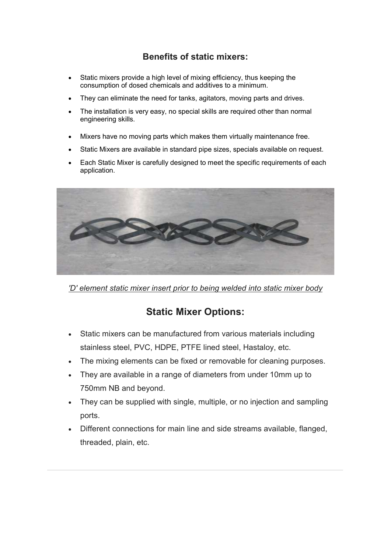#### Benefits of static mixers:

- Static mixers provide a high level of mixing efficiency, thus keeping the consumption of dosed chemicals and additives to a minimum.
- They can eliminate the need for tanks, agitators, moving parts and drives.
- The installation is very easy, no special skills are required other than normal engineering skills.
- Mixers have no moving parts which makes them virtually maintenance free.
- Static Mixers are available in standard pipe sizes, specials available on request.
- Each Static Mixer is carefully designed to meet the specific requirements of each application.



'D' element static mixer insert prior to being welded into static mixer body

#### Static Mixer Options:

- Static mixers can be manufactured from various materials including stainless steel, PVC, HDPE, PTFE lined steel, Hastaloy, etc.
- The mixing elements can be fixed or removable for cleaning purposes.
- They are available in a range of diameters from under 10mm up to 750mm NB and beyond.
- They can be supplied with single, multiple, or no injection and sampling ports.
- Different connections for main line and side streams available, flanged, threaded, plain, etc.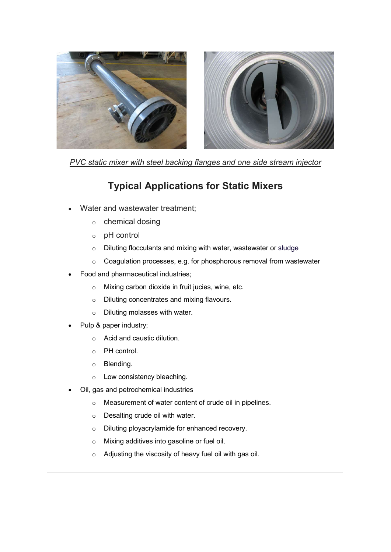

PVC static mixer with steel backing flanges and one side stream injector

#### Typical Applications for Static Mixers

- Water and wastewater treatment;
	- o chemical dosing
	- o pH control
	- o Diluting flocculants and mixing with water, wastewater or sludge
	- o Coagulation processes, e.g. for phosphorous removal from wastewater
- Food and pharmaceutical industries;
	- o Mixing carbon dioxide in fruit jucies, wine, etc.
	- o Diluting concentrates and mixing flavours.
	- o Diluting molasses with water.
- Pulp & paper industry;
	- o Acid and caustic dilution.
	- o PH control.
	- o Blending.
	- o Low consistency bleaching.
- Oil, gas and petrochemical industries
	- o Measurement of water content of crude oil in pipelines.
	- o Desalting crude oil with water.
	- o Diluting ployacrylamide for enhanced recovery.
	- o Mixing additives into gasoline or fuel oil.
	- o Adjusting the viscosity of heavy fuel oil with gas oil.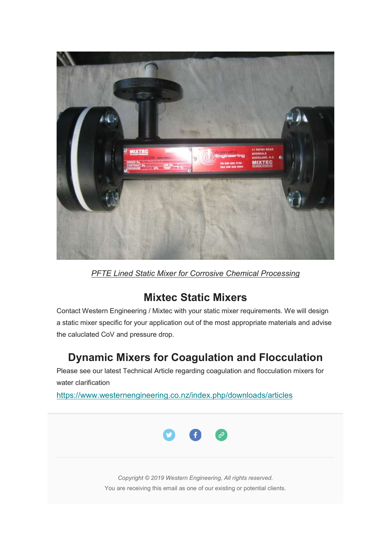

**PFTE Lined Static Mixer for Corrosive Chemical Processing** 

### Mixtec Static Mixers

Contact Western Engineering / Mixtec with your static mixer requirements. We will design a static mixer specific for your application out of the most appropriate materials and advise the caluclated CoV and pressure drop.

## Dynamic Mixers for Coagulation and Flocculation

Please see our latest Technical Article regarding coagulation and flocculation mixers for water clarification

https://www.westernengineering.co.nz/index.php/downloads/articles